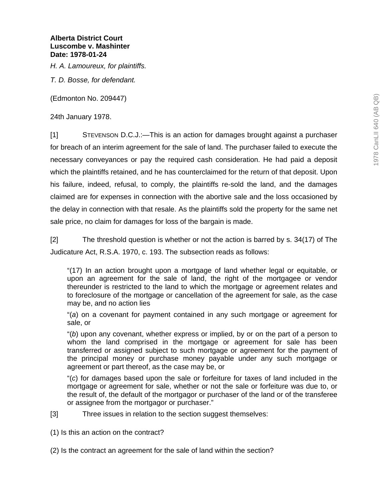*H. A. Lamoureux, for plaintiffs.* 

*T. D. Bosse, for defendant.* 

(Edmonton No. 209447)

24th January 1978.

[1] STEVENSON D.C.J.:—This is an action for damages brought against a purchaser for breach of an interim agreement for the sale of land. The purchaser failed to execute the necessary conveyances or pay the required cash consideration. He had paid a deposit which the plaintiffs retained, and he has counterclaimed for the return of that deposit. Upon his failure, indeed, refusal, to comply, the plaintiffs re-sold the land, and the damages claimed are for expenses in connection with the abortive sale and the loss occasioned by the delay in connection with that resale. As the plaintiffs sold the property for the same net sale price, no claim for damages for loss of the bargain is made.

[2] The threshold question is whether or not the action is barred by s. 34(17) of The Judicature Act, R.S.A. 1970, c. 193. The subsection reads as follows:

"(17) In an action brought upon a mortgage of land whether legal or equitable, or upon an agreement for the sale of land, the right of the mortgagee or vendor thereunder is restricted to the land to which the mortgage or agreement relates and to foreclosure of the mortgage or cancellation of the agreement for sale, as the case may be, and no action lies

"(*a*) on a covenant for payment contained in any such mortgage or agreement for sale, or

"(*b*) upon any covenant, whether express or implied, by or on the part of a person to whom the land comprised in the mortgage or agreement for sale has been transferred or assigned subject to such mortgage or agreement for the payment of the principal money or purchase money payable under any such mortgage or agreement or part thereof, as the case may be, or

"(*c*) for damages based upon the sale or forfeiture for taxes of land included in the mortgage or agreement for sale, whether or not the sale or forfeiture was due to, or the result of, the default of the mortgagor or purchaser of the land or of the transferee or assignee from the mortgagor or purchaser."

[3] Three issues in relation to the section suggest themselves:

- (1) Is this an action on the contract?
- (2) Is the contract an agreement for the sale of land within the section?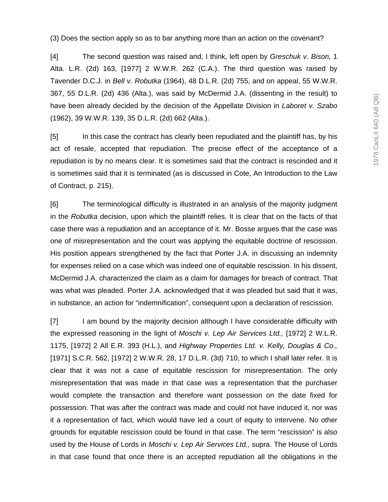(3) Does the section apply so as to bar anything more than an action on the covenant?

[4] The second question was raised and, I think, left open by *Greschuk v. Bison,* 1 Alta. L.R. (2d) 163, [1977] 2 W.W.R. 262 (C.A.). The third question was raised by Tavender D.C.J. in *Bell v. Robutka* (1964), 48 D.L.R. (2d) 755, and on appeal, 55 W.W.R. 367, 55 D.L.R. (2d) 436 (Alta.), was said by McDermid J.A. (dissenting in the result) to have been already decided by the decision of the Appellate Division in *Laboret v. Szabo* (1962), 39 W.W.R. 139, 35 D.L.R. (2d) 662 (Alta.).

[5] In this case the contract has clearly been repudiated and the plaintiff has, by his act of resale, accepted that repudiation. The precise effect of the acceptance of a repudiation is by no means clear. It is sometimes said that the contract is rescinded and it is sometimes said that it is terminated (as is discussed in Cote, An Introduction to the Law of Contract, p. 215).

[6] The terminological difficulty is illustrated in an analysis of the majority judgment in the *Robutka* decision, upon which the plaintiff relies. It is clear that on the facts of that case there was a repudiation and an acceptance of it. Mr. Bosse argues that the case was one of misrepresentation and the court was applying the equitable doctrine of rescission. His position appears strengthened by the fact that Porter J.A. in discussing an indemnity for expenses relied on a case which was indeed one of equitable rescission. In his dissent, McDermid J.A. characterized the claim as a claim for damages for breach of contract. That was what was pleaded. Porter J.A. acknowledged that it was pleaded but said that it was, in substance, an action for "indemnification", consequent upon a declaration of rescission.

[7] I am bound by the majority decision although I have considerable difficulty with the expressed reasoning in the light of *Moschi v. Lep Air Services Ltd.,* [1972] 2 W.L.R. 1175, [1972] 2 All E.R. 393 (H.L.), and *Highway Properties Ltd. v. Kelly, Douglas & Co.,* [1971] S.C.R. 562, [1972] 2 W.W.R. 28, 17 D.L.R. (3d) 710, to which I shall later refer. It is clear that it was not a case of equitable rescission for misrepresentation. The only misrepresentation that was made in that case was a representation that the purchaser would complete the transaction and therefore want possession on the date fixed for possession. That was after the contract was made and could not have induced it, nor was it a representation of fact, which would have led a court of equity to intervene. No other grounds for equitable rescission could be found in that case. The term "rescission" is also used by the House of Lords in *Moschi v. Lep Air Services Ltd.,* supra. The House of Lords in that case found that once there is an accepted repudiation all the obligations in the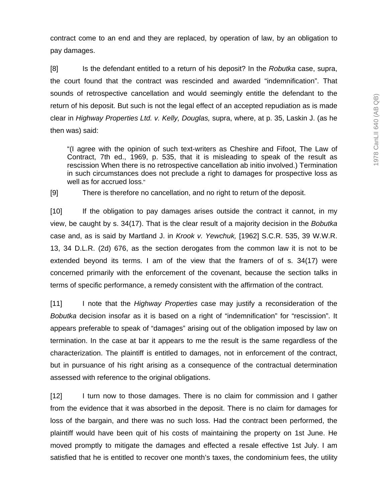contract come to an end and they are replaced, by operation of law, by an obligation to pay damages.

[8] Is the defendant entitled to a return of his deposit? In the *Robutka* case, supra, the court found that the contract was rescinded and awarded "indemnification". That sounds of retrospective cancellation and would seemingly entitle the defendant to the return of his deposit. But such is not the legal effect of an accepted repudiation as is made clear in *Highway Properties Ltd. v. Kelly, Douglas,* supra, where, at p. 35, Laskin J. (as he then was) said:

"(I agree with the opinion of such text-writers as Cheshire and Fifoot, The Law of Contract, 7th ed., 1969, p. 535, that it is misleading to speak of the result as rescission When there is no retrospective cancellation ab initio involved.) Termination in such circumstances does not preclude a right to damages for prospective loss as well as for accrued loss."

[9] There is therefore no cancellation, and no right to return of the deposit.

[10] If the obligation to pay damages arises outside the contract it cannot, in my view, be caught by s. 34(17). That is the clear result of a majority decision in the *Bobutka* case and, as is said by Martland J. in *Krook v. Yewchuk,* [1962] S.C.R. 535, 39 W.W.R. 13, 34 D.L.R. (2d) 676, as the section derogates from the common law it is not to be extended beyond its terms. I am of the view that the framers of of s. 34(17) were concerned primarily with the enforcement of the covenant, because the section talks in terms of specific performance, a remedy consistent with the affirmation of the contract.

[11] I note that the *Highway Properties* case may justify a reconsideration of the *Bobutka* decision insofar as it is based on a right of "indemnification" for "rescission". It appears preferable to speak of "damages" arising out of the obligation imposed by law on termination. In the case at bar it appears to me the result is the same regardless of the characterization. The plaintiff is entitled to damages, not in enforcement of the contract, but in pursuance of his right arising as a consequence of the contractual determination assessed with reference to the original obligations.

[12] I turn now to those damages. There is no claim for commission and I gather from the evidence that it was absorbed in the deposit. There is no claim for damages for loss of the bargain, and there was no such loss. Had the contract been performed, the plaintiff would have been quit of his costs of maintaining the property on 1st June. He moved promptly to mitigate the damages and effected a resale effective 1st July. I am satisfied that he is entitled to recover one month's taxes, the condominium fees, the utility